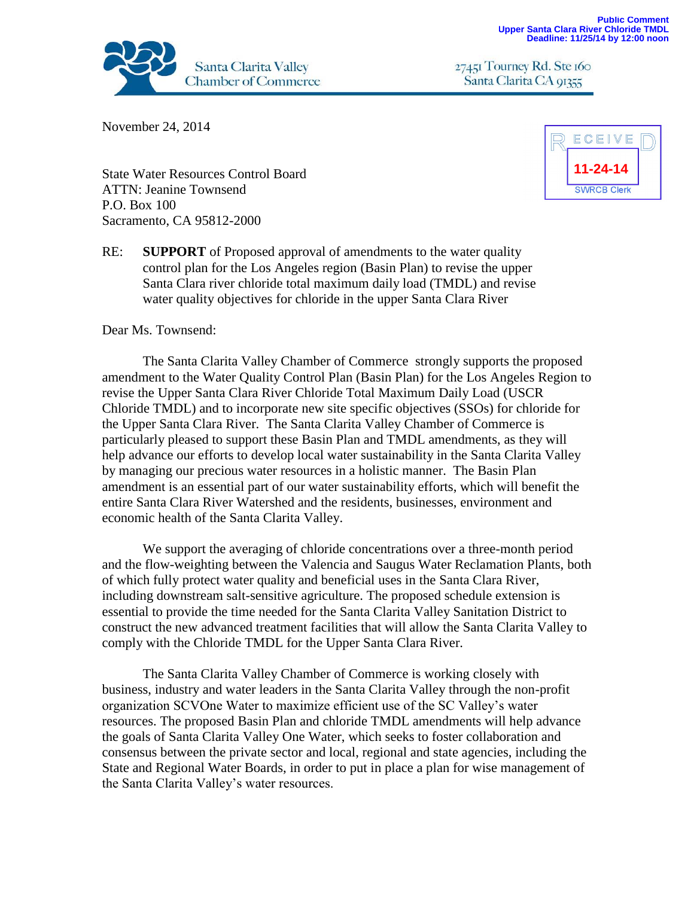

27451 Tourney Rd. Ste 160 Santa Clarita CA 91355

November 24, 2014

State Water Resources Control Board ATTN: Jeanine Townsend P.O. Box 100 Sacramento, CA 95812-2000



RE: **SUPPORT** of Proposed approval of amendments to the water quality control plan for the Los Angeles region (Basin Plan) to revise the upper Santa Clara river chloride total maximum daily load (TMDL) and revise water quality objectives for chloride in the upper Santa Clara River

## Dear Ms. Townsend:

The Santa Clarita Valley Chamber of Commerce strongly supports the proposed amendment to the Water Quality Control Plan (Basin Plan) for the Los Angeles Region to revise the Upper Santa Clara River Chloride Total Maximum Daily Load (USCR Chloride TMDL) and to incorporate new site specific objectives (SSOs) for chloride for the Upper Santa Clara River. The Santa Clarita Valley Chamber of Commerce is particularly pleased to support these Basin Plan and TMDL amendments, as they will help advance our efforts to develop local water sustainability in the Santa Clarita Valley by managing our precious water resources in a holistic manner. The Basin Plan amendment is an essential part of our water sustainability efforts, which will benefit the entire Santa Clara River Watershed and the residents, businesses, environment and economic health of the Santa Clarita Valley.

We support the averaging of chloride concentrations over a three-month period and the flow-weighting between the Valencia and Saugus Water Reclamation Plants, both of which fully protect water quality and beneficial uses in the Santa Clara River, including downstream salt-sensitive agriculture. The proposed schedule extension is essential to provide the time needed for the Santa Clarita Valley Sanitation District to construct the new advanced treatment facilities that will allow the Santa Clarita Valley to comply with the Chloride TMDL for the Upper Santa Clara River.

The Santa Clarita Valley Chamber of Commerce is working closely with business, industry and water leaders in the Santa Clarita Valley through the non-profit organization SCVOne Water to maximize efficient use of the SC Valley's water resources. The proposed Basin Plan and chloride TMDL amendments will help advance the goals of Santa Clarita Valley One Water, which seeks to foster collaboration and consensus between the private sector and local, regional and state agencies, including the State and Regional Water Boards, in order to put in place a plan for wise management of the Santa Clarita Valley's water resources.